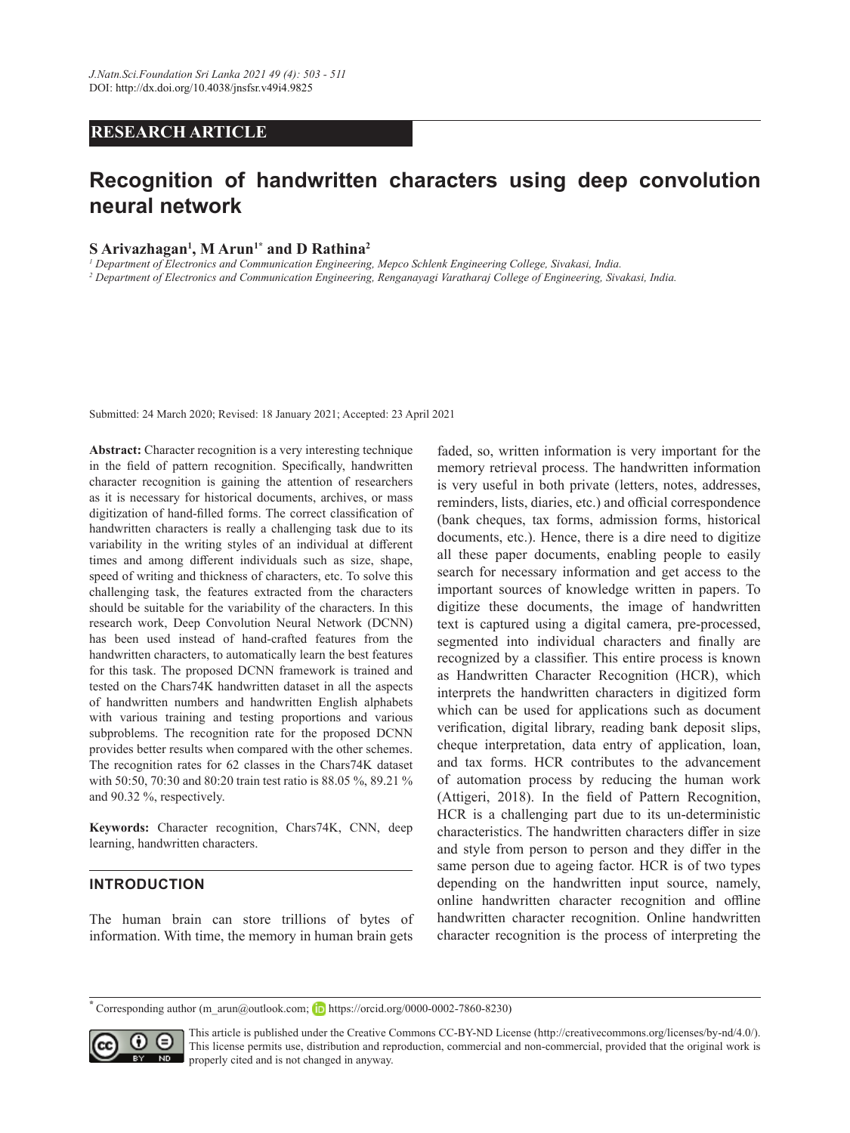# **RESEARCH ARTICLE**

# **Recognition of handwritten characters using deep convolution neural network**

# **S Arivazhagan1 , M Arun1\* and D Rathina2**

*1 Department of Electronics and Communication Engineering, Mepco Schlenk Engineering College, Sivakasi, India.*

*2 Department of Electronics and Communication Engineering, Renganayagi Varatharaj College of Engineering, Sivakasi, India.* 

Submitted: 24 March 2020; Revised: 18 January 2021; Accepted: 23 April 2021

**Abstract:** Character recognition is a very interesting technique in the field of pattern recognition. Specifically, handwritten character recognition is gaining the attention of researchers as it is necessary for historical documents, archives, or mass digitization of hand-filled forms. The correct classification of handwritten characters is really a challenging task due to its variability in the writing styles of an individual at different times and among different individuals such as size, shape, speed of writing and thickness of characters, etc. To solve this challenging task, the features extracted from the characters should be suitable for the variability of the characters. In this research work, Deep Convolution Neural Network (DCNN) has been used instead of hand-crafted features from the handwritten characters, to automatically learn the best features for this task. The proposed DCNN framework is trained and tested on the Chars74K handwritten dataset in all the aspects of handwritten numbers and handwritten English alphabets with various training and testing proportions and various subproblems. The recognition rate for the proposed DCNN provides better results when compared with the other schemes. The recognition rates for 62 classes in the Chars74K dataset with 50:50, 70:30 and 80:20 train test ratio is 88.05 %, 89.21 % and 90.32 %, respectively.

**Keywords:** Character recognition, Chars74K, CNN, deep learning, handwritten characters.

# **INTRODUCTION**

The human brain can store trillions of bytes of information. With time, the memory in human brain gets

faded, so, written information is very important for the memory retrieval process. The handwritten information is very useful in both private (letters, notes, addresses, reminders, lists, diaries, etc.) and official correspondence (bank cheques, tax forms, admission forms, historical documents, etc.). Hence, there is a dire need to digitize all these paper documents, enabling people to easily search for necessary information and get access to the important sources of knowledge written in papers. To digitize these documents, the image of handwritten text is captured using a digital camera, pre-processed, segmented into individual characters and finally are recognized by a classifier. This entire process is known as Handwritten Character Recognition (HCR), which interprets the handwritten characters in digitized form which can be used for applications such as document verification, digital library, reading bank deposit slips, cheque interpretation, data entry of application, loan, and tax forms. HCR contributes to the advancement of automation process by reducing the human work (Attigeri, 2018). In the field of Pattern Recognition, HCR is a challenging part due to its un-deterministic characteristics. The handwritten characters differ in size and style from person to person and they differ in the same person due to ageing factor. HCR is of two types depending on the handwritten input source, namely, online handwritten character recognition and offline handwritten character recognition. Online handwritten character recognition is the process of interpreting the

<sup>&</sup>lt;sup>t</sup> Corresponding author (m\_arun@outlook.com; **https://orcid.org/0000-0002-7860-8230)** 



This article is published under the Creative Commons CC-BY-ND License (http://creativecommons.org/licenses/by-nd/4.0/). This license permits use, distribution and reproduction, commercial and non-commercial, provided that the original work is **ND** properly cited and is not changed in anyway.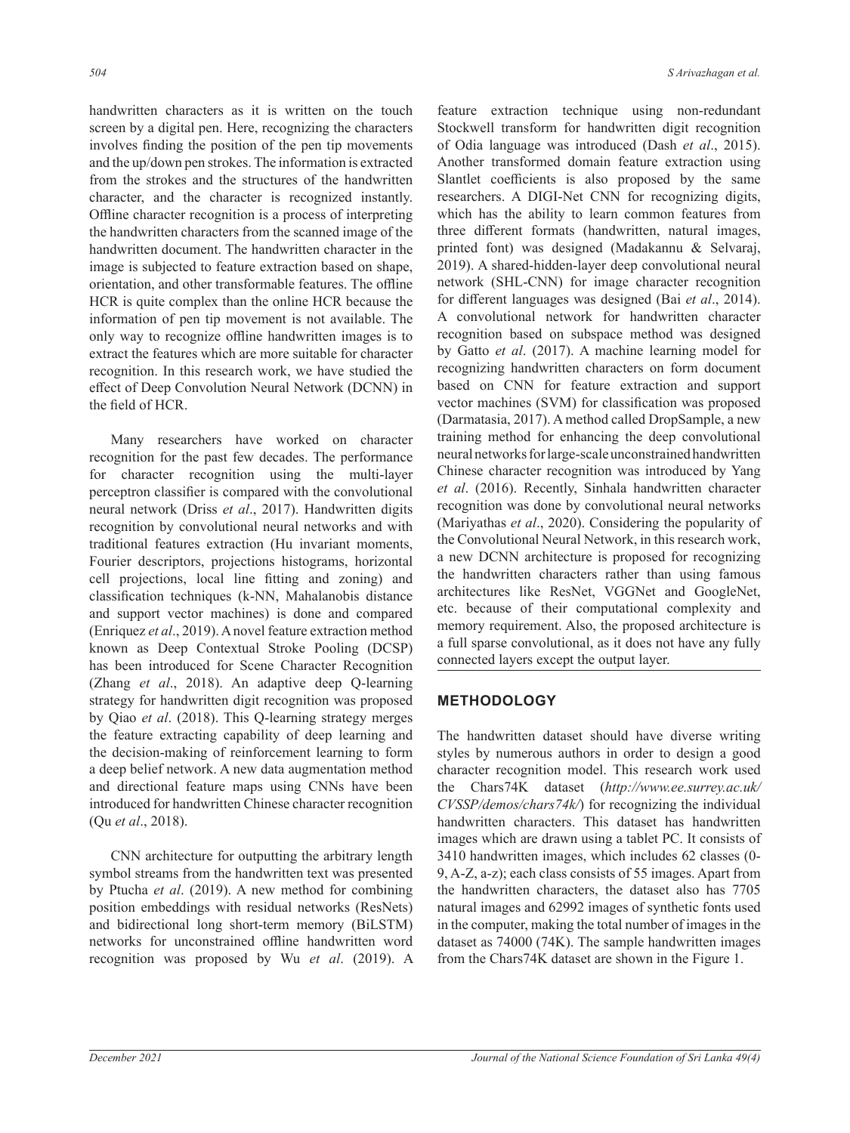handwritten characters as it is written on the touch screen by a digital pen. Here, recognizing the characters involves finding the position of the pen tip movements and the up/down pen strokes. The information is extracted from the strokes and the structures of the handwritten character, and the character is recognized instantly. Offline character recognition is a process of interpreting the handwritten characters from the scanned image of the handwritten document. The handwritten character in the image is subjected to feature extraction based on shape, orientation, and other transformable features. The offline HCR is quite complex than the online HCR because the information of pen tip movement is not available. The only way to recognize offline handwritten images is to extract the features which are more suitable for character recognition. In this research work, we have studied the effect of Deep Convolution Neural Network (DCNN) in the field of HCR.

Many researchers have worked on character recognition for the past few decades. The performance for character recognition using the multi-layer perceptron classifier is compared with the convolutional neural network (Driss *et al*., 2017). Handwritten digits recognition by convolutional neural networks and with traditional features extraction (Hu invariant moments, Fourier descriptors, projections histograms, horizontal cell projections, local line fitting and zoning) and classification techniques (k-NN, Mahalanobis distance and support vector machines) is done and compared (Enriquez *et al*., 2019). A novel feature extraction method known as Deep Contextual Stroke Pooling (DCSP) has been introduced for Scene Character Recognition (Zhang *et al*., 2018). An adaptive deep Q-learning strategy for handwritten digit recognition was proposed by Qiao *et al*. (2018). This Q-learning strategy merges the feature extracting capability of deep learning and the decision-making of reinforcement learning to form a deep belief network. A new data augmentation method and directional feature maps using CNNs have been introduced for handwritten Chinese character recognition (Qu *et al*., 2018).

CNN architecture for outputting the arbitrary length symbol streams from the handwritten text was presented by Ptucha *et al*. (2019). A new method for combining position embeddings with residual networks (ResNets) and bidirectional long short-term memory (BiLSTM) networks for unconstrained offline handwritten word recognition was proposed by Wu *et al*. (2019). A

feature extraction technique using non-redundant Stockwell transform for handwritten digit recognition of Odia language was introduced (Dash *et al*., 2015). Another transformed domain feature extraction using Slantlet coefficients is also proposed by the same researchers. A DIGI-Net CNN for recognizing digits, which has the ability to learn common features from three different formats (handwritten, natural images, printed font) was designed (Madakannu & Selvaraj, 2019). A shared-hidden-layer deep convolutional neural network (SHL-CNN) for image character recognition for different languages was designed (Bai *et al*., 2014). A convolutional network for handwritten character recognition based on subspace method was designed by Gatto *et al*. (2017). A machine learning model for recognizing handwritten characters on form document based on CNN for feature extraction and support vector machines (SVM) for classification was proposed (Darmatasia, 2017). A method called DropSample, a new training method for enhancing the deep convolutional neural networks for large-scale unconstrained handwritten Chinese character recognition was introduced by Yang *et al*. (2016). Recently, Sinhala handwritten character recognition was done by convolutional neural networks (Mariyathas *et al*., 2020). Considering the popularity of the Convolutional Neural Network, in this research work, a new DCNN architecture is proposed for recognizing the handwritten characters rather than using famous architectures like ResNet, VGGNet and GoogleNet, etc. because of their computational complexity and memory requirement. Also, the proposed architecture is a full sparse convolutional, as it does not have any fully connected layers except the output layer.

#### **METHODOLOGY**

The handwritten dataset should have diverse writing styles by numerous authors in order to design a good character recognition model. This research work used the Chars74K dataset (*http://www.ee.surrey.ac.uk/ CVSSP/demos/chars74k/*) for recognizing the individual handwritten characters. This dataset has handwritten images which are drawn using a tablet PC. It consists of 3410 handwritten images, which includes 62 classes (0- 9, A-Z, a-z); each class consists of 55 images. Apart from the handwritten characters, the dataset also has 7705 natural images and 62992 images of synthetic fonts used in the computer, making the total number of images in the dataset as 74000 (74K). The sample handwritten images from the Chars74K dataset are shown in the Figure 1.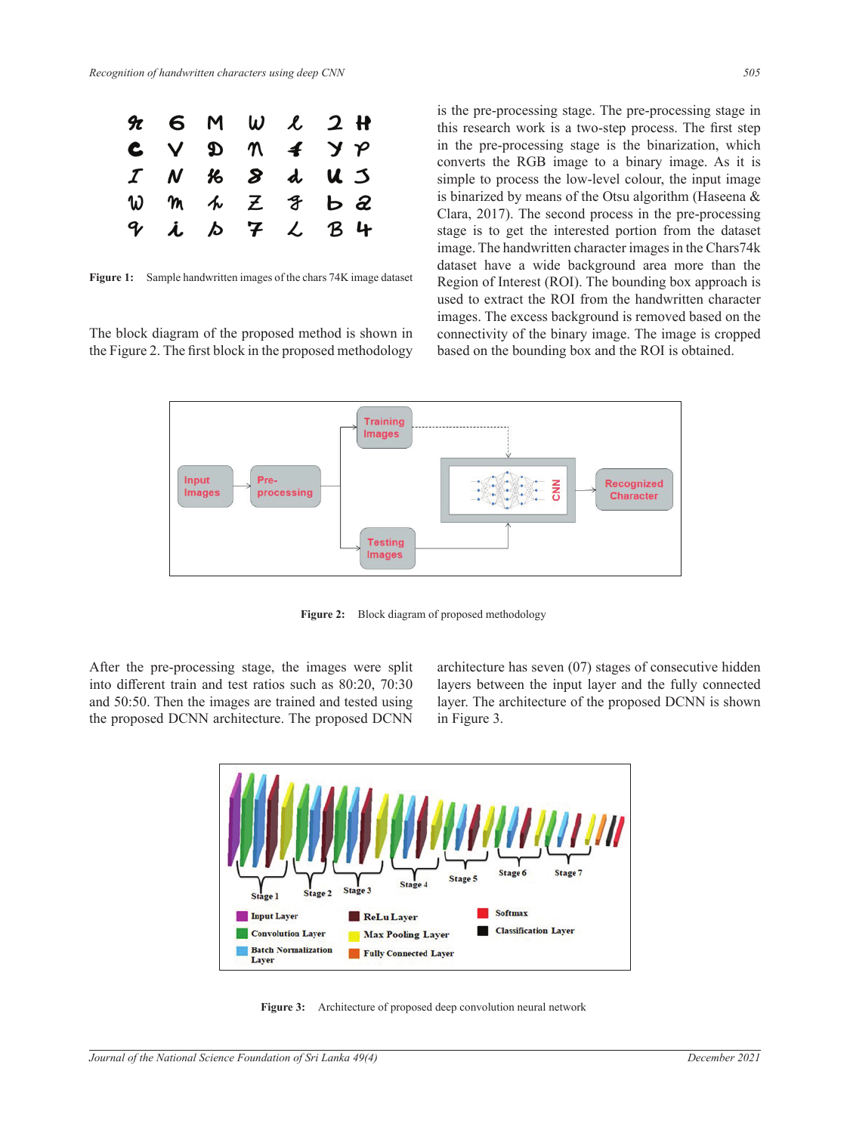

**Figure 1:** Sample handwritten images of the chars 74K image dataset

mages. The block diagram of the proposed method is shown in connectivity of the Figure 2. The first block in the proposed methodology based on the bo

is the pre-processing stage. The pre-processing stage in this research work is a two-step process. The first step in the pre-processing stage is the binarization, which converts the RGB image to a binary image. As it is simple to process the low-level colour, the input image is binarized by means of the Otsu algorithm (Haseena & Clara, 2017). The second process in the pre-processing stage is to get the interested portion from the dataset image. The handwritten character images in the Chars74k dataset have a wide background area more than the Region of Interest (ROI). The bounding box approach is to extract the ROI from the handwritten character images. The excess background is removed based on the connectivity of the binary image. The image is cropped based on the bounding box and the ROI is obtained.



 $\frac{1}{2}$  berefore stage, the images are split into different train and test ratios such as 80:20,  $\frac{1}{2}$ **Figure 2:** Block diagram of proposed methodology

into different train and test ratios such as 80:20, 70:30 layers between the input layer and and 50:50. Then the images are trained and tested using layer. The architecture of the propos the proposed DCNN architecture. The proposed DCNN architecture and the fully stages between the fully layer and the fully stages and the fully stages and the fully stages are fully stages and the fully stages are fully sta After the pre-processing stage, the images were split

e-processing stage, the images were split architecture has seven (07) stages of consecutive hidden layers between the input layer and the fully connected layer. The architecture of the proposed DCNN is shown in Figure 3.



Figure 3: Architecture of proposed deep convolution neural network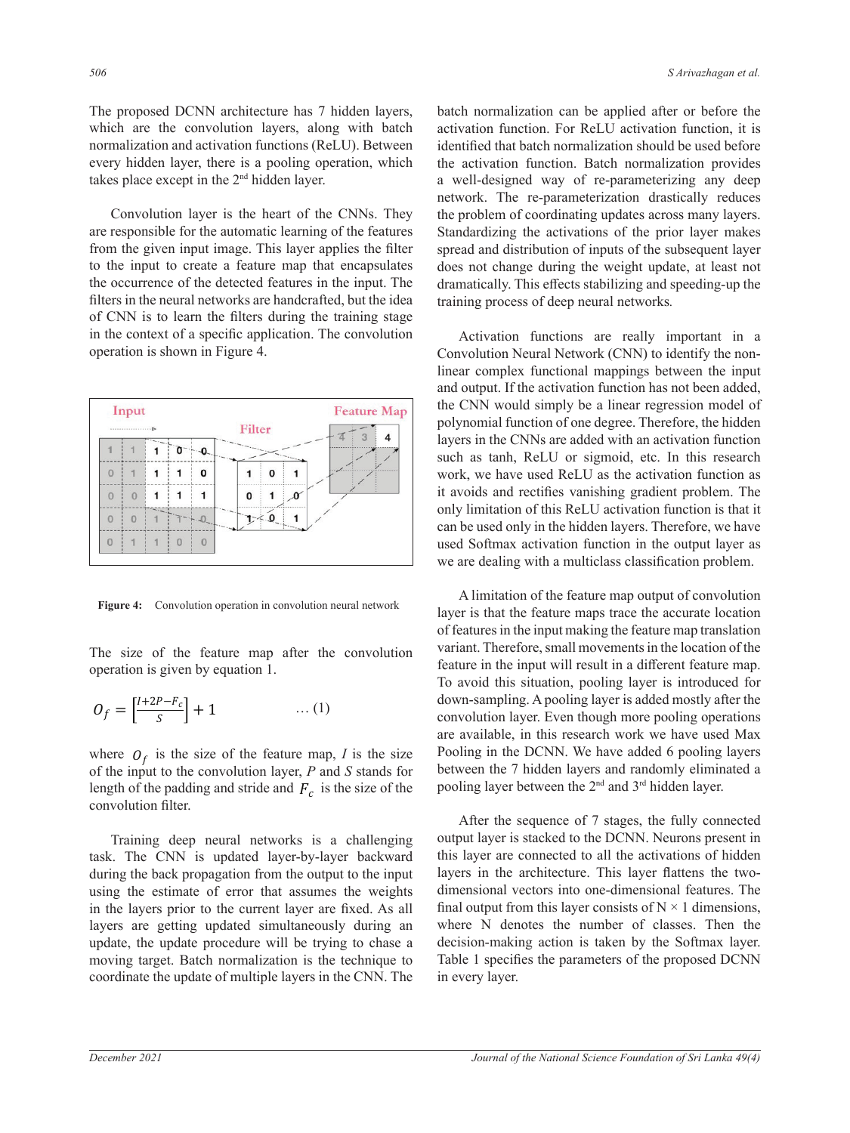The proposed DCNN architecture has 7 hidden layers, which are the convolution layers, along with batch normalization and activation functions (ReLU). Between every hidden layer, there is a pooling operation, which takes place except in the 2nd hidden layer.

Convolution layer is the heart of the CNNs. They are responsible for the automatic learning of the features from the given input image. This layer applies the filter to the input to create a feature map that encapsulates the occurrence of the detected features in the input. The filters in the neural networks are handcrafted, but the idea of CNN is to learn the filters during the training stage in the context of a specific application. The convolution operation is shown in Figure 4. Convolution Neural Netv



**Figure 4:** Convolution operation in convolution neural network

Fine size of the feature map after the convolution feature in the input will operation is given by equation 1. The size of the feature map after the convolution

$$
O_f = \left[\frac{I + 2P - F_c}{S}\right] + 1 \qquad \qquad \dots (1)
$$

of the input to the convolution layer,  $P$  and  $S$  stands for between the  $7$  hidden layers and randomly eliminated a the output to the output to the input using the estimate of error that assumes that assume that assume that assume  $\epsilon$ length of the padding and stride and  $F_c$  is the size of the pooling layer between the convolution filter.

task. The CNN is updated layer-by-layer backward this layer are connected to all the activations of hic during the back propagation from the output to the input layers in the architecture. This layer flattens the twoin the layers prior to the current layer are fixed. As all final output from this layer consists of  $N \times 1$  dimensions, ayers are getting updated simulationsly during an where it denotes the providence update, the update procedure will be trying to chase a decision-making action moving target. Batch normalization is the technique to Table 1 specifies the parameters of the proposed DCNN voordinate are aparte of many prosent and distributions of the prosent makes spread and distributions of the prior layer  $\mathbf{u}$  is activation function function. Batch normalization provides a well-designed way of recoordinate the update of multiple layers in the CNN. The in every layer. using the estimate of error that assumes the weights dimensional vectors into one-dimensional feature layers are getting updated simultaneously during an where N denotes the number of classes. Th

batch normalization can be applied after or before the activation function. For ReLU activation function, it is identified that batch normalization should be used before the activation function. Batch normalization provides a well-designed way of re-parameterizing any deep network. The re-parameterization drastically reduces the problem of coordinating updates across many layers. Standardizing the activations of the prior layer makes spread and distribution of inputs of the subsequent layer does not change during the weight update, at least not dramatically. This effects stabilizing and speeding-up the training process of deep neural networks*.*

Activation functions are really important in a Convolution Neural Network (CNN) to identify the nonlinear complex functional mappings between the input and output. If the activation function has not been added, the CNN would simply be a linear regression model of polynomial function of one degree. Therefore, the hidden layers in the CNNs are added with an activation function such as tanh, ReLU or sigmoid, etc. In this research work, we have used ReLU as the activation function as handcrafted, but the idea of CNN is to learn the filters during the training stage in the context of a specific it avoids and rectifies vanishing gradient problem. The application. The convolution operation is shown in Figure 4. only limitation of this ReLU activation function is that it can be used only in the hidden layers. Therefore, we have used Softmax activation function in the output layer as we are dealing with a multiclass classification problem.

A limitation of the feature map output of convolution had the feature maps trace the accurate location in convolution neural network right is that the feature maps three the accurate focation of features in the input making the feature map translation variant. Therefore, small movements in the location of the feature in the input will result in a different feature map. peration is given by equation 1.<br>To avoid this situation, pooling layer is introduced for  $=\left[\frac{I+2P-F_c}{c}\right]+1$  … (1) down-sampling. A pooling layer is added mostly after the convolution layer. Even though more pooling operations  $O_f = \left[\frac{r+2r-r_c}{s}\right] + 1$  … (1) when sampling, it pooling tages is dated mostly and the convolution layer. Even though more pooling operations For the feature map and the feature map are available, in this research work we have used Max Pooling in the DCNN. We have added 6 pooling layers between the 7 hidden layers and randomly eliminated a pooling layer between the 2nd and 3rd hidden layer. where  $O_f$  is the size of the feature map, I is the size Pooling in the DCNN. We have added 6 pooling<br>of the input to the convolution layer P and S stands for between the 7 hidden layers and randomly elimi

After the sequence of 7 stages, the fully connected  $\overline{AB}$ output layer is stacked to the DCNN. Neurons present in ask. The CNN is updated layer-by-layer backward this layer are connected to all the activations of hidden layers in the architecture. This layer flattens the twothe estimate of error that assumes the weights dimensional vectors into one-dimensional features. The  $\frac{1}{2}$ final output from this layer consists of  $N \times 1$  dimensions, where N denotes the number of classes. Then the update, the update procedure will be trying to chase a decision-making action is taken by the Softmax layer. target. Batch normalization is the technique to Table 1 specifies the parameters of the proposed DCNN in every layer. Training deep neural networks is a challenging output layer is stacked to the DCNN. Neurons pro convolution filter.<br>Training deep networks is the size of the sequence of the stages, the fully conne

updates across many layers. Standardizing the activations of the prior layer makes spread and distributions of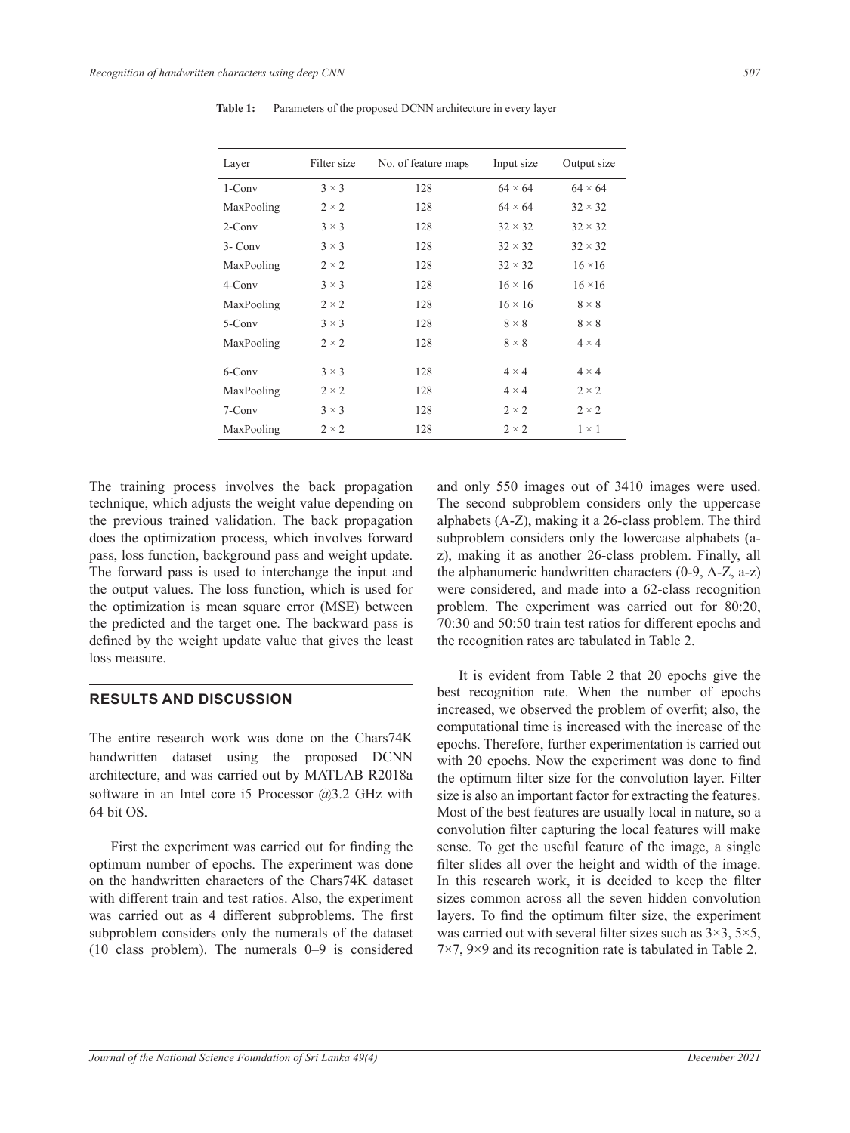| Layer      | Filter size  | No. of feature maps | Input size     | Output size    |
|------------|--------------|---------------------|----------------|----------------|
| $1$ -Conv  | $3 \times 3$ | 128                 | $64 \times 64$ | $64 \times 64$ |
| MaxPooling | $2 \times 2$ | 128                 | $64 \times 64$ | $32 \times 32$ |
| $2$ -Conv  | $3 \times 3$ | 128                 | $32 \times 32$ | $32 \times 32$ |
| $3 - Conv$ | $3 \times 3$ | 128                 | $32 \times 32$ | $32 \times 32$ |
| MaxPooling | $2 \times 2$ | 128                 | $32 \times 32$ | $16 \times 16$ |
| $4$ -Conv  | $3 \times 3$ | 128                 | $16 \times 16$ | $16 \times 16$ |
| MaxPooling | $2 \times 2$ | 128                 | $16 \times 16$ | $8 \times 8$   |
| 5-Conv     | $3 \times 3$ | 128                 | $8 \times 8$   | $8 \times 8$   |
| MaxPooling | $2 \times 2$ | 128                 | $8 \times 8$   | $4 \times 4$   |
| $6$ -Conv  | $3 \times 3$ | 128                 | $4 \times 4$   | $4 \times 4$   |
| MaxPooling | $2 \times 2$ | 128                 | $4 \times 4$   | $2 \times 2$   |
| 7-Conv     | $3 \times 3$ | 128                 | $2 \times 2$   | $2 \times 2$   |
| MaxPooling | $2 \times 2$ | 128                 | $2 \times 2$   | $1 \times 1$   |

**Table 1:** Parameters of the proposed DCNN architecture in every layer

The training process involves the back propagation technique, which adjusts the weight value depending on the previous trained validation. The back propagation does the optimization process, which involves forward pass, loss function, background pass and weight update. The forward pass is used to interchange the input and the output values. The loss function, which is used for the optimization is mean square error (MSE) between the predicted and the target one. The backward pass is defined by the weight update value that gives the least loss measure.

# **RESULTS AND DISCUSSION**

The entire research work was done on the Chars74K handwritten dataset using the proposed DCNN architecture, and was carried out by MATLAB R2018a software in an Intel core i5 Processor @3.2 GHz with 64 bit OS.

First the experiment was carried out for finding the optimum number of epochs. The experiment was done on the handwritten characters of the Chars74K dataset with different train and test ratios. Also, the experiment was carried out as 4 different subproblems. The first subproblem considers only the numerals of the dataset (10 class problem). The numerals 0–9 is considered and only 550 images out of 3410 images were used. The second subproblem considers only the uppercase alphabets (A-Z), making it a 26-class problem. The third subproblem considers only the lowercase alphabets (az), making it as another 26-class problem. Finally, all the alphanumeric handwritten characters (0-9, A-Z, a-z) were considered, and made into a 62-class recognition problem. The experiment was carried out for 80:20, 70:30 and 50:50 train test ratios for different epochs and the recognition rates are tabulated in Table 2.

It is evident from Table 2 that 20 epochs give the best recognition rate. When the number of epochs increased, we observed the problem of overfit; also, the computational time is increased with the increase of the epochs. Therefore, further experimentation is carried out with 20 epochs. Now the experiment was done to find the optimum filter size for the convolution layer. Filter size is also an important factor for extracting the features. Most of the best features are usually local in nature, so a convolution filter capturing the local features will make sense. To get the useful feature of the image, a single filter slides all over the height and width of the image. In this research work, it is decided to keep the filter sizes common across all the seven hidden convolution layers. To find the optimum filter size, the experiment was carried out with several filter sizes such as  $3\times3$ ,  $5\times5$ , 7×7, 9×9 and its recognition rate is tabulated in Table 2.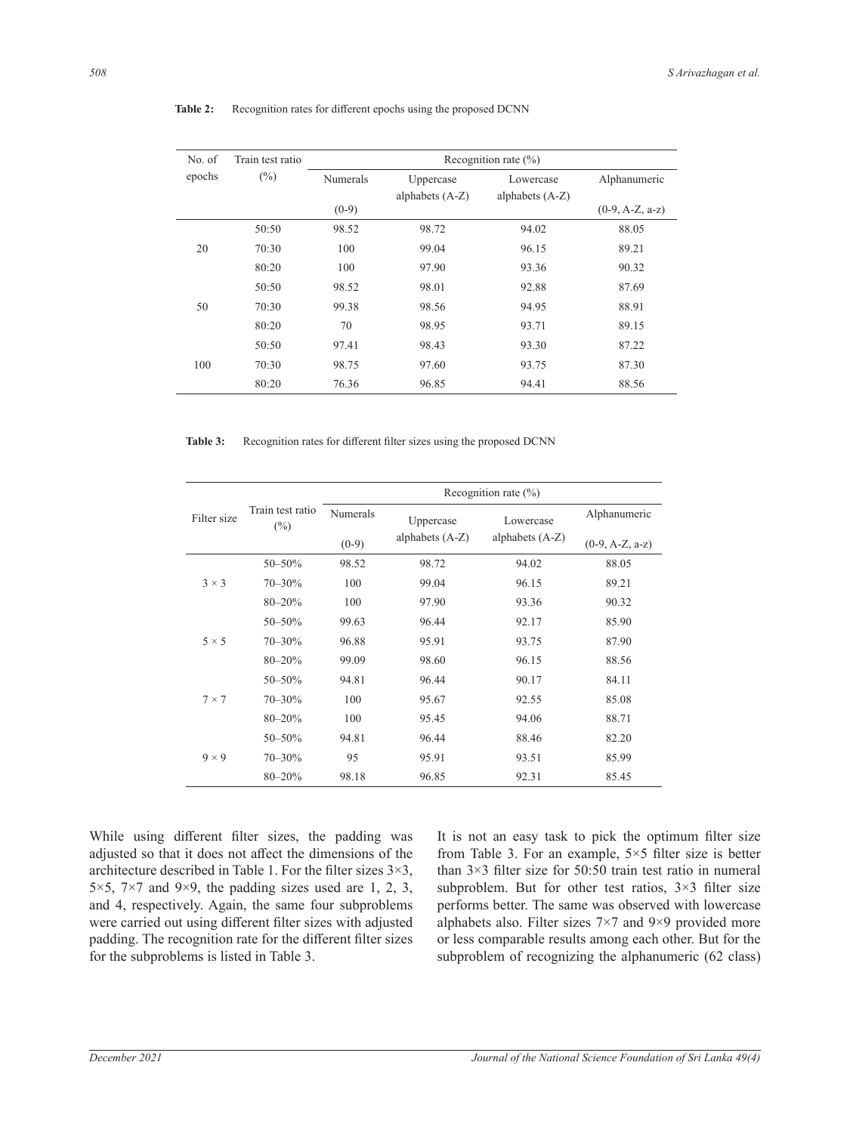| No. of | Train test ratio | Recognition rate $(\% )$ |                 |                   |                   |
|--------|------------------|--------------------------|-----------------|-------------------|-------------------|
| epochs | (%)              | <b>Numerals</b>          | Uppercase       | Lowercase         | Alphanumeric      |
|        |                  |                          | alphabets (A-Z) | alphabets $(A-Z)$ |                   |
|        |                  | $(0-9)$                  |                 |                   | $(0-9, A-Z, a-z)$ |
|        | 50:50            | 98.52                    | 98.72           | 94.02             | 88.05             |
| 20     | 70:30            | 100                      | 99.04           | 96.15             | 89.21             |
|        | 80:20            | 100                      | 97.90           | 93.36             | 90.32             |
|        | 50:50            | 98.52                    | 98.01           | 92.88             | 87.69             |
| 50     | 70:30            | 99.38                    | 98.56           | 94.95             | 88.91             |
|        | 80:20            | 70                       | 98.95           | 93.71             | 89.15             |
|        | 50:50            | 97.41                    | 98.43           | 93.30             | 87.22             |
| 100    | 70:30            | 98.75                    | 97.60           | 93.75             | 87.30             |
|        | 80:20            | 76.36                    | 96.85           | 94.41             | 88.56             |

**Table 2:** Recognition rates for different epochs using the proposed DCNN

Table 3: Recognition rates for different filter sizes using the proposed DCNN

|              | Train test ratio<br>$(\%)$ | Recognition rate $(\% )$ |                   |                   |                   |
|--------------|----------------------------|--------------------------|-------------------|-------------------|-------------------|
| Filter size  |                            | <b>Numerals</b>          | Uppercase         | Lowercase         | Alphanumeric      |
|              |                            | $(0-9)$                  | alphabets $(A-Z)$ | alphabets $(A-Z)$ | $(0-9, A-Z, a-z)$ |
| $3 \times 3$ | $50 - 50\%$                | 98.52                    | 98.72             | 94.02             | 88.05             |
|              | $70 - 30\%$                | 100                      | 99.04             | 96.15             | 89.21             |
|              | $80 - 20%$                 | 100                      | 97.90             | 93.36             | 90.32             |
| $5 \times 5$ | 50-50%                     | 99.63                    | 96.44             | 92.17             | 85.90             |
|              | $70 - 30%$                 | 96.88                    | 95.91             | 93.75             | 87.90             |
|              | $80 - 20%$                 | 99.09                    | 98.60             | 96.15             | 88.56             |
| $7 \times 7$ | 50-50%                     | 94.81                    | 96.44             | 90.17             | 84.11             |
|              | 70-30%                     | 100                      | 95.67             | 92.55             | 85.08             |
|              | $80 - 20%$                 | 100                      | 95.45             | 94.06             | 88.71             |
| $9 \times 9$ | $50 - 50%$                 | 94.81                    | 96.44             | 88.46             | 82.20             |
|              | $70 - 30\%$                | 95                       | 95.91             | 93.51             | 85.99             |
|              | $80 - 20%$                 | 98.18                    | 96.85             | 92.31             | 85.45             |

While using different filter sizes, the padding was adjusted so that it does not affect the dimensions of the architecture described in Table 1. For the filter sizes 3×3, 5 $\times$ 5, 7 $\times$ 7 and 9 $\times$ 9, the padding sizes used are 1, 2, 3, and 4, respectively. Again, the same four subproblems were carried out using different filter sizes with adjusted padding. The recognition rate for the different filter sizes for the subproblems is listed in Table 3.

It is not an easy task to pick the optimum filter size from Table 3. For an example,  $5 \times 5$  filter size is better than 3×3 filter size for 50:50 train test ratio in numeral subproblem. But for other test ratios,  $3\times3$  filter size performs better. The same was observed with lowercase alphabets also. Filter sizes 7×7 and 9×9 provided more or less comparable results among each other. But for the subproblem of recognizing the alphanumeric (62 class)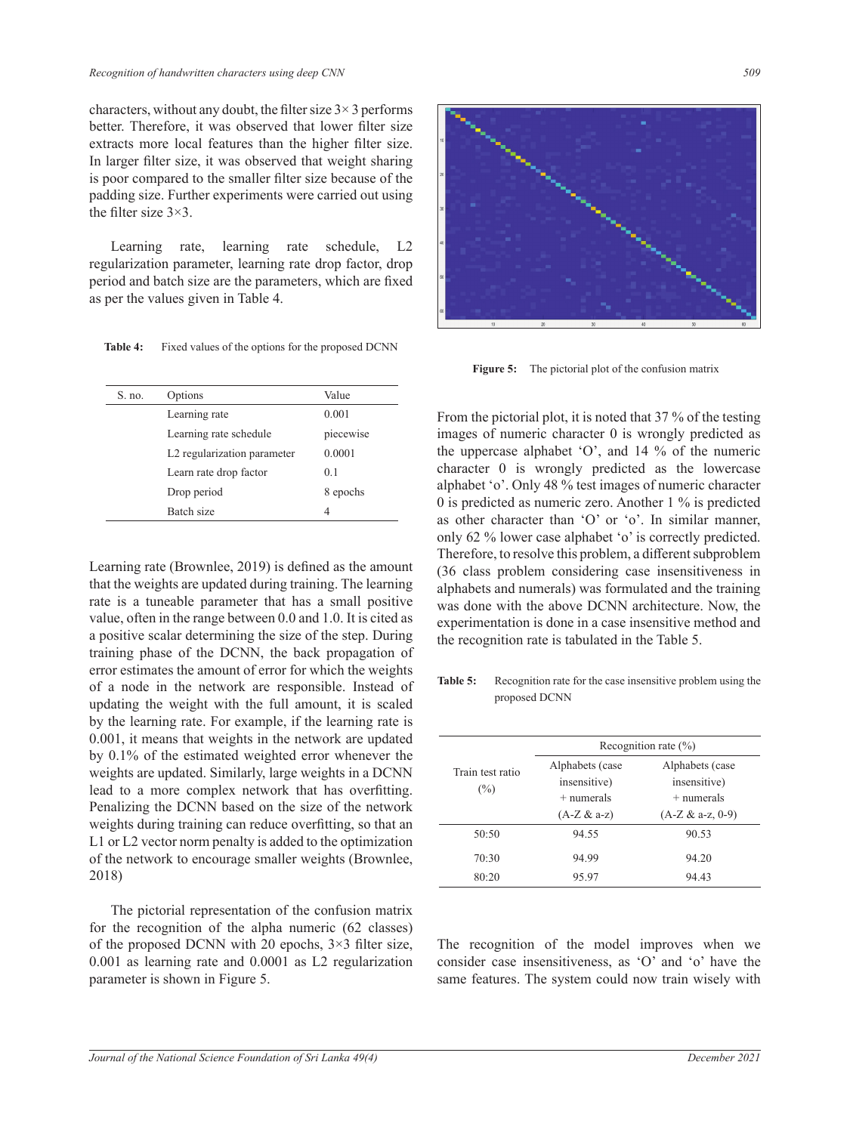characters, without any doubt, the filter size  $3 \times 3$  performs better. Therefore, it was observed that lower filter size extracts more local features than the higher filter size. In larger filter size, it was observed that weight sharing is poor compared to the smaller filter size because of the padding size. Further experiments were carried out using the filter size 3×3.

Learning rate, learning rate schedule, L2 regularization parameter, learning rate drop factor, drop period and batch size are the parameters, which are fixed as per the values given in Table 4.

| Options                     | Value     |                                                                  |
|-----------------------------|-----------|------------------------------------------------------------------|
| Learning rate               | 0.001     | From the pictorial plot, it is noted that 37 % of the testing    |
| Learning rate schedule      | piecewise | images of numeric character 0 is wrongly predicted as            |
| L2 regularization parameter | 0.0001    | the uppercase alphabet $'O'$ , and 14 % of the numeric           |
| Learn rate drop factor      | 0.1       | character 0 is wrongly predicted as the lowercase                |
| Drop period                 | 8 epochs  | alphabet 'o'. Only 48 % test images of numeric character         |
| Batch size                  | 4         | 0 is predicted as numeric zero. Another $1\%$ is predicted       |
|                             |           | as other character than $\Omega$ or $\Omega$ . In similar manner |

Learning rate (Brownlee, 2019) is defined as the amount that the weights are updated during training. The learning rate is a tuneable parameter that has a small positive value, often in the range between 0.0 and 1.0. It is cited as a positive scalar determining the size of the step. During training phase of the DCNN, the back propagation of error estimates the amount of error for which the weights of a node in the network are responsible. Instead of updating the weight with the full amount, it is scaled by the learning rate. For example, if the learning rate is 0.001, it means that weights in the network are updated by 0.1% of the estimated weighted error whenever the weights are updated. Similarly, large weights in a DCNN lead to a more complex network that has overfitting. Penalizing the DCNN based on the size of the network weights during training can reduce overfitting, so that an L1 or L2 vector norm penalty is added to the optimization of the network to encourage smaller weights (Brownlee, 2018)  $\text{e}$  weights  $\qquad \qquad$ **Table 5:** Recognition rate for the case insensitive problem using the stead of  $\text{res}$  scaled  $\frac{1}{1}$ 

The pictorial representation of the confusion matrix for the recognition of the alpha numeric (62 classes) of the proposed DCNN with 20 epochs, 3×3 filter size, 0.001 as learning rate and 0.0001 as L2 regularization parameter is shown in Figure 5.



**Figure 5:** The pictorial plot of the confusion matrix

 $\frac{0.001}{\text{From the pictorial plot, it is noted that 37% of the testing}}$  $10,0001$  the uppercase alphabet 'O', and 14 % of the numeric  $_{0.1}$  character 0 is wrongly predicted as the lowercase  $\alpha$  alphabet 'o'. Only 48 % test images of numeric character  $\frac{1}{4}$  0 is predicted as numeric zero. Another 1 % is predicted mount (36 class problem considering case insensitiveness in was done with the above DCNN architecture. Now, the experimentation is done in a case insensitive method and the recognition rate is tabulated in the Table 5. images of numeric character 0 is wrongly predicted as as other character than 'O' or 'o'. In similar manner, only 62 % lower case alphabet 'o' is correctly predicted. Therefore, to resolve this problem, a different subproblem alphabets and numerals) was formulated and the training

Train test ratio  $(%)$ Recognition rate (%) Alphabets (case insensitive) + numerals (A-Z & a-z) Alphabets (case insensitive) + numerals (A-Z & a-z, 0-9) 50:50 94.55 90.53 70:30 94.99 94.20 80:20 95.97 94.43

proposed DCNN

The recognition of the model improves when we consider case insensitiveness, as 'O' and 'o' have the same features. The system could now train wisely with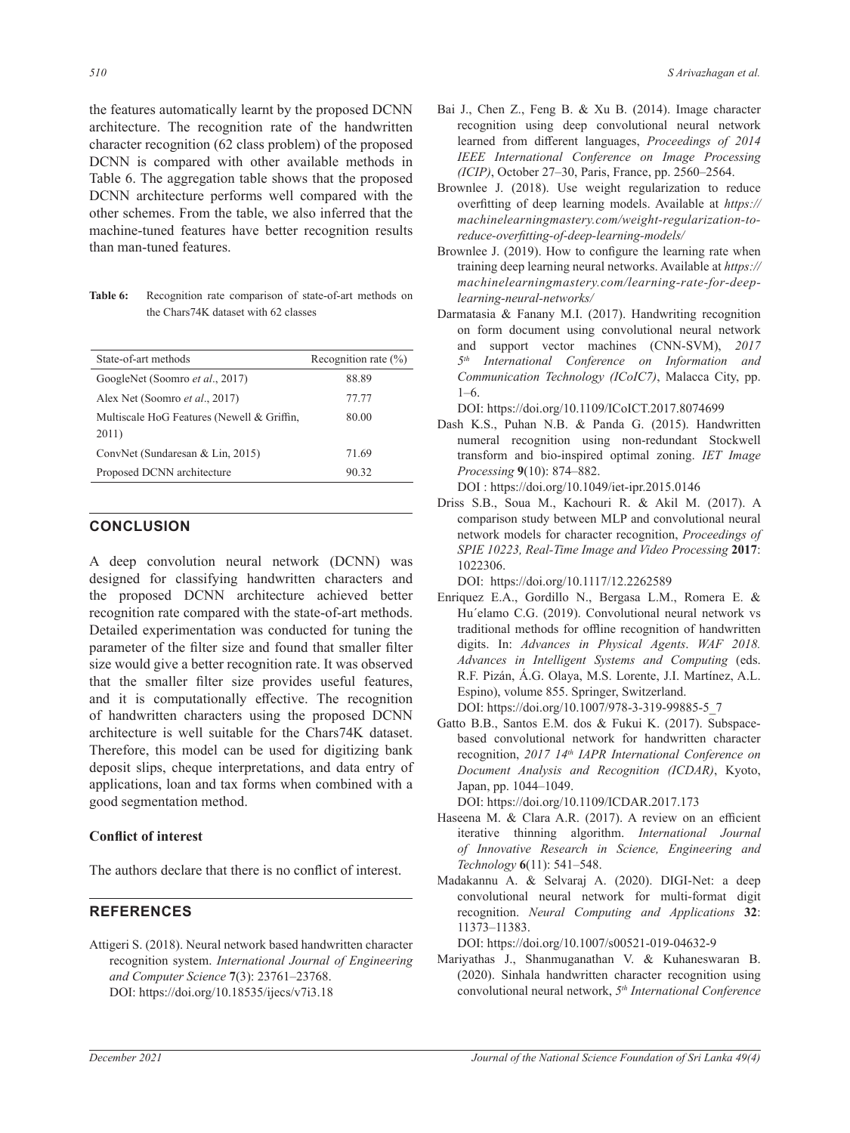the features automatically learnt by the proposed DCNN architecture. The recognition rate of the handwritten character recognition (62 class problem) of the proposed DCNN is compared with other available methods in Table 6. The aggregation table shows that the proposed DCNN architecture performs well compared with the other schemes. From the table, we also inferred that the machine-tuned features have better recognition results than man-tuned features.

**Table 6:** Recognition rate comparison of state-of-art methods on the Chars74K dataset with 62 classes

| State-of-art methods                                | Recognition rate $(\%)$ |
|-----------------------------------------------------|-------------------------|
| GoogleNet (Soomro et al., 2017)                     | 88.89                   |
| Alex Net (Soomro <i>et al.</i> , 2017)              | 77.77                   |
| Multiscale HoG Features (Newell & Griffin,<br>2011) | 80.00                   |
| ConvNet (Sundaresan & Lin, 2015)                    | 71.69                   |
| Proposed DCNN architecture                          | 90.32                   |
|                                                     |                         |

# **CONCLUSION**

A deep convolution neural network (DCNN) was designed for classifying handwritten characters and the proposed DCNN architecture achieved better recognition rate compared with the state-of-art methods. Detailed experimentation was conducted for tuning the parameter of the filter size and found that smaller filter size would give a better recognition rate. It was observed that the smaller filter size provides useful features, and it is computationally effective. The recognition of handwritten characters using the proposed DCNN architecture is well suitable for the Chars74K dataset. Therefore, this model can be used for digitizing bank deposit slips, cheque interpretations, and data entry of applications, loan and tax forms when combined with a good segmentation method.

#### **Conflict of interest**

The authors declare that there is no conflict of interest.

# **REFERENCES**

Attigeri S. (2018). Neural network based handwritten character recognition system. *International Journal of Engineering and Computer Science* **7**(3): 23761–23768. DOI: https://doi.org/10.18535/ijecs/v7i3.18

- Bai J., Chen Z., Feng B. & Xu B. (2014). Image character recognition using deep convolutional neural network learned from different languages, *Proceedings of 2014 IEEE International Conference on Image Processing (ICIP)*, October 27–30, Paris, France, pp. 2560–2564.
- Brownlee J. (2018). Use weight regularization to reduce overfitting of deep learning models. Available at *https:// machinelearningmastery.com/weight-regularization-toreduce-overfitting-of-deep-learning-models/*
- Brownlee J. (2019). How to configure the learning rate when training deep learning neural networks. Available at *https:// machinelearningmastery.com/learning-rate-for-deeplearning-neural-networks/*
- Darmatasia & Fanany M.I. (2017). Handwriting recognition on form document using convolutional neural network and support vector machines (CNN-SVM), *2017 5th International Conference on Information and Communication Technology (ICoIC7)*, Malacca City, pp.  $1-6.$

DOI: https://doi.org/10.1109/ICoICT.2017.8074699

Dash K.S., Puhan N.B. & Panda G. (2015). Handwritten numeral recognition using non-redundant Stockwell transform and bio-inspired optimal zoning. *IET Image Processing* **9**(10): 874–882.

DOI : https://doi.org/10.1049/iet-ipr.2015.0146

Driss S.B., Soua M., Kachouri R. & Akil M. (2017). A comparison study between MLP and convolutional neural network models for character recognition, *Proceedings of SPIE 10223, Real-Time Image and Video Processing* **2017**: 1022306.

DOI: https://doi.org/10.1117/12.2262589

- Enriquez E.A., Gordillo N., Bergasa L.M., Romera E. & Hu´elamo C.G. (2019). Convolutional neural network vs traditional methods for offline recognition of handwritten digits. In: *Advances in Physical Agents*. *WAF 2018. Advances in Intelligent Systems and Computing* (eds. R.F. Pizán, Á.G. Olaya, M.S. Lorente, J.I. Martínez, A.L. Espino), volume 855. Springer, Switzerland. DOI: https://doi.org/10.1007/978-3-319-99885-5\_7
- Gatto B.B., Santos E.M. dos & Fukui K. (2017). Subspacebased convolutional network for handwritten character recognition, *2017 14th IAPR International Conference on Document Analysis and Recognition (ICDAR)*, Kyoto, Japan, pp. 1044–1049.
	- DOI: https://doi.org/10.1109/ICDAR.2017.173
- Haseena M. & Clara A.R. (2017). A review on an efficient iterative thinning algorithm. *International Journal of Innovative Research in Science, Engineering and Technology* **6**(11): 541–548.
- Madakannu A. & Selvaraj A. (2020). DIGI-Net: a deep convolutional neural network for multi-format digit recognition. *Neural Computing and Applications* **32**: 11373–11383.

DOI: https://doi.org/10.1007/s00521-019-04632-9

Mariyathas J., Shanmuganathan V. & Kuhaneswaran B. (2020). Sinhala handwritten character recognition using convolutional neural network, *5th International Conference*